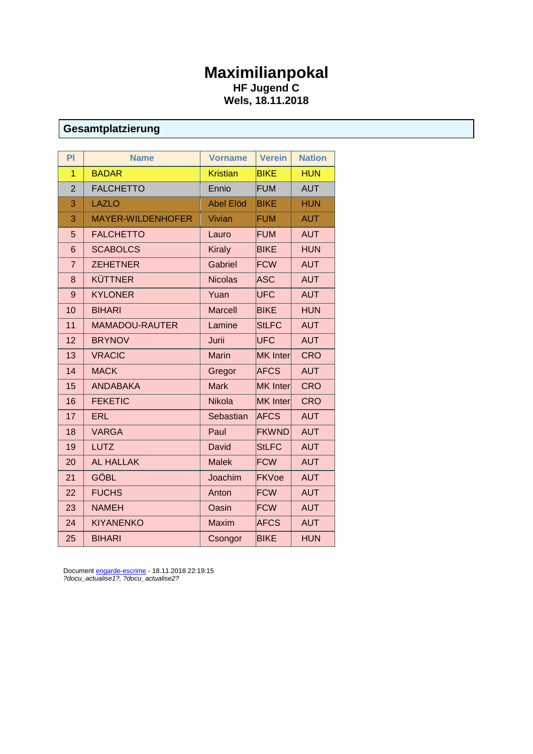## **Maximilianpokal HF Jugend C Wels, 18.11.2018**

### **Gesamtplatzierung**

| PI             | <b>Name</b>              | <b>Vorname</b>   | <b>Verein</b>   | <b>Nation</b> |
|----------------|--------------------------|------------------|-----------------|---------------|
| 1              | <b>BADAR</b>             | <b>Kristian</b>  | <b>BIKE</b>     | <b>HUN</b>    |
| $\overline{2}$ | <b>FALCHETTO</b>         | Ennio            | <b>FUM</b>      | <b>AUT</b>    |
| 3              | <b>LAZLO</b>             | <b>Abel Elöd</b> | <b>BIKE</b>     | <b>HUN</b>    |
| 3              | <b>MAYER-WILDENHOFER</b> | Vivian           | <b>FUM</b>      | <b>AUT</b>    |
| 5              | <b>FALCHETTO</b>         | Lauro            | <b>FUM</b>      | <b>AUT</b>    |
| 6              | <b>SCABOLCS</b>          | <b>Kiraly</b>    | <b>BIKE</b>     | <b>HUN</b>    |
| $\overline{7}$ | <b>ZEHETNER</b>          | Gabriel          | <b>FCW</b>      | <b>AUT</b>    |
| 8              | <b>KÜTTNER</b>           | <b>Nicolas</b>   | <b>ASC</b>      | <b>AUT</b>    |
| 9              | <b>KYLONER</b>           | Yuan             | <b>UFC</b>      | <b>AUT</b>    |
| 10             | <b>BIHARI</b>            | <b>Marcell</b>   | <b>BIKE</b>     | <b>HUN</b>    |
| 11             | <b>MAMADOU-RAUTER</b>    | Lamine           | <b>StLFC</b>    | <b>AUT</b>    |
| 12             | <b>BRYNOV</b>            | Jurii            | <b>UFC</b>      | <b>AUT</b>    |
| 13             | <b>VRACIC</b>            | <b>Marin</b>     | <b>MK</b> Inter | <b>CRO</b>    |
| 14             | <b>MACK</b>              | Gregor           | <b>AFCS</b>     | <b>AUT</b>    |
| 15             | <b>ANDABAKA</b>          | <b>Mark</b>      | <b>MK</b> Inter | <b>CRO</b>    |
| 16             | <b>FEKETIC</b>           | Nikola           | <b>MK</b> Inter | <b>CRO</b>    |
| 17             | <b>ERL</b>               | Sebastian        | <b>AFCS</b>     | <b>AUT</b>    |
| 18             | <b>VARGA</b>             | Paul             | <b>FKWND</b>    | <b>AUT</b>    |
| 19             | <b>LUTZ</b>              | David            | <b>StLFC</b>    | <b>AUT</b>    |
| 20             | <b>AL HALLAK</b>         | <b>Malek</b>     | <b>FCW</b>      | <b>AUT</b>    |
| 21             | <b>GÖBL</b>              | Joachim          | <b>FKVoe</b>    | <b>AUT</b>    |
| 22             | <b>FUCHS</b>             | Anton            | <b>FCW</b>      | <b>AUT</b>    |
| 23             | <b>NAMEH</b>             | Oasin            | <b>FCW</b>      | <b>AUT</b>    |
| 24             | <b>KIYANENKO</b>         | <b>Maxim</b>     | <b>AFCS</b>     | <b>AUT</b>    |
| 25             | <b>BIHARI</b>            | Csongor          | <b>BIKE</b>     | <b>HUN</b>    |

Document **engarde-escrime** - 18.11.2018 22:19:15 *?docu\_actualise1?, ?docu\_actualise2?*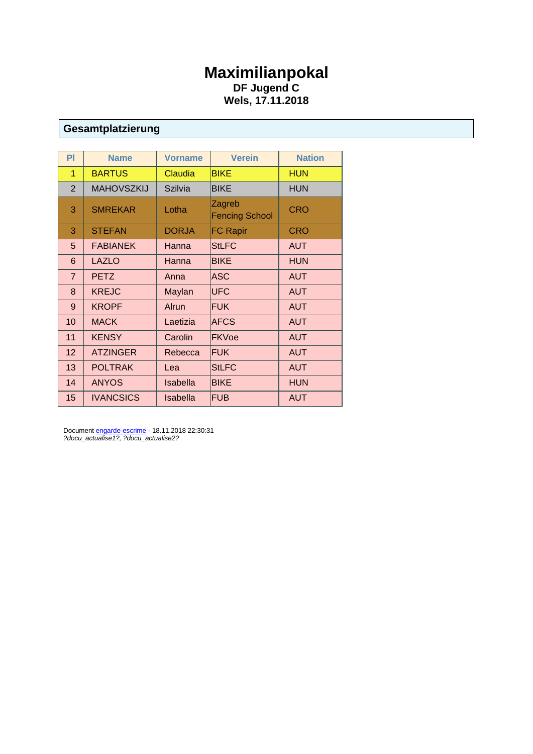## **Maximilianpokal DF Jugend C Wels, 17.11.2018**

# **Gesamtplatzierung**

| <b>PI</b>      | <b>Name</b>       | <b>Vorname</b>  | <b>Verein</b>                   | <b>Nation</b> |
|----------------|-------------------|-----------------|---------------------------------|---------------|
| 1              | <b>BARTUS</b>     | Claudia         | <b>BIKE</b>                     | <b>HUN</b>    |
| $\overline{2}$ | <b>MAHOVSZKIJ</b> | Szilvia         | <b>BIKE</b>                     | HUN           |
| 3              | <b>SMREKAR</b>    | Lotha           | Zagreb<br><b>Fencing School</b> | <b>CRO</b>    |
| 3              | <b>STEFAN</b>     | <b>DORJA</b>    | <b>FC Rapir</b>                 | <b>CRO</b>    |
| 5              | <b>FABIANEK</b>   | Hanna           | <b>StLFC</b>                    | <b>AUT</b>    |
| 6              | <b>LAZLO</b>      | Hanna           | <b>BIKE</b>                     | <b>HUN</b>    |
| $\overline{7}$ | <b>PETZ</b>       | Anna            | <b>ASC</b>                      | <b>AUT</b>    |
| 8              | <b>KREJC</b>      | Maylan          | UFC                             | <b>AUT</b>    |
| 9              | <b>KROPF</b>      | Alrun           | <b>FUK</b>                      | <b>AUT</b>    |
| 10             | <b>MACK</b>       | Laetizia        | <b>AFCS</b>                     | <b>AUT</b>    |
| 11             | <b>KENSY</b>      | Carolin         | <b>FKVoe</b>                    | <b>AUT</b>    |
| 12             | <b>ATZINGER</b>   | Rebecca         | <b>FUK</b>                      | <b>AUT</b>    |
| 13             | <b>POLTRAK</b>    | Lea             | <b>StLFC</b>                    | <b>AUT</b>    |
| 14             | <b>ANYOS</b>      | <b>Isabella</b> | <b>BIKE</b>                     | <b>HUN</b>    |
| 15             | <b>IVANCSICS</b>  | <b>Isabella</b> | <b>FUB</b>                      | <b>AUT</b>    |

Documen[t engarde-escrime](http://engarde-escrime.com/) - 18.11.2018 22:30:31 *?docu\_actualise1?, ?docu\_actualise2?*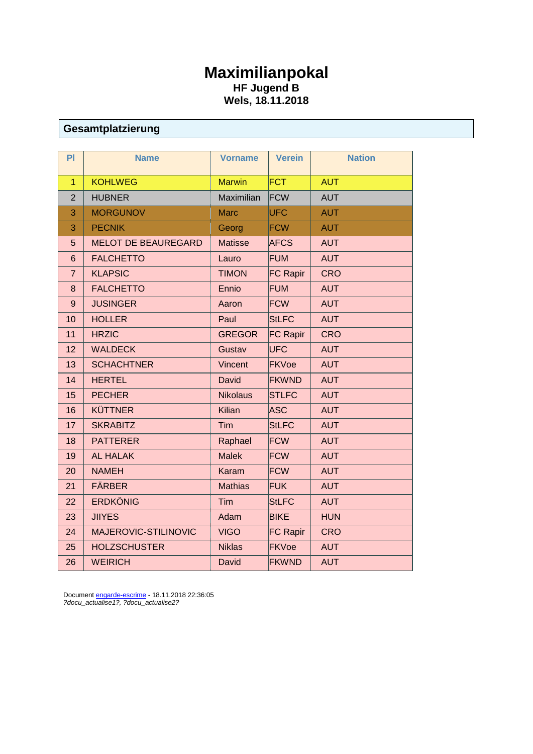## **Maximilianpokal HF Jugend B Wels, 18.11.2018**

# **Gesamtplatzierung**

| PI              | <b>Name</b>                | <b>Vorname</b>  | <b>Verein</b>   | <b>Nation</b> |
|-----------------|----------------------------|-----------------|-----------------|---------------|
| $\overline{1}$  | <b>KOHLWEG</b>             | <b>Marwin</b>   | <b>FCT</b>      | <b>AUT</b>    |
| $\overline{2}$  | <b>HUBNER</b>              | Maximilian      | FCW             | <b>AUT</b>    |
| 3               | <b>MORGUNOV</b>            | <b>Marc</b>     | <b>UFC</b>      | <b>AUT</b>    |
| 3               | <b>PECNIK</b>              | Georg           | <b>FCW</b>      | <b>AUT</b>    |
| 5               | <b>MELOT DE BEAUREGARD</b> | <b>Matisse</b>  | <b>AFCS</b>     | <b>AUT</b>    |
| $6\phantom{1}6$ | <b>FALCHETTO</b>           | Lauro           | <b>FUM</b>      | <b>AUT</b>    |
| $\overline{7}$  | <b>KLAPSIC</b>             | <b>TIMON</b>    | <b>FC Rapir</b> | <b>CRO</b>    |
| 8               | <b>FALCHETTO</b>           | Ennio           | <b>FUM</b>      | <b>AUT</b>    |
| 9               | <b>JUSINGER</b>            | Aaron           | <b>FCW</b>      | <b>AUT</b>    |
| 10              | <b>HOLLER</b>              | Paul            | <b>StLFC</b>    | <b>AUT</b>    |
| 11              | <b>HRZIC</b>               | <b>GREGOR</b>   | <b>FC Rapir</b> | <b>CRO</b>    |
| 12              | <b>WALDECK</b>             | Gustav          | <b>UFC</b>      | <b>AUT</b>    |
| 13              | <b>SCHACHTNER</b>          | Vincent         | <b>FKVoe</b>    | <b>AUT</b>    |
| 14              | <b>HERTEL</b>              | David           | <b>FKWND</b>    | <b>AUT</b>    |
| 15              | <b>PECHER</b>              | <b>Nikolaus</b> | <b>STLFC</b>    | <b>AUT</b>    |
| 16              | <b>KÜTTNER</b>             | Kilian          | <b>ASC</b>      | <b>AUT</b>    |
| 17              | <b>SKRABITZ</b>            | Tim             | <b>StLFC</b>    | <b>AUT</b>    |
| 18              | <b>PATTERER</b>            | Raphael         | <b>FCW</b>      | <b>AUT</b>    |
| 19              | <b>AL HALAK</b>            | <b>Malek</b>    | <b>FCW</b>      | <b>AUT</b>    |
| 20              | <b>NAMEH</b>               | Karam           | <b>FCW</b>      | <b>AUT</b>    |
| 21              | <b>FÄRBER</b>              | <b>Mathias</b>  | <b>FUK</b>      | <b>AUT</b>    |
| 22              | <b>ERDKÖNIG</b>            | Tim             | <b>StLFC</b>    | <b>AUT</b>    |
| 23              | <b>JIIYES</b>              | Adam            | <b>BIKE</b>     | <b>HUN</b>    |
| 24              | MAJEROVIC-STILINOVIC       | <b>VIGO</b>     | <b>FC Rapir</b> | <b>CRO</b>    |
| 25              | <b>HOLZSCHUSTER</b>        | <b>Niklas</b>   | <b>FKVoe</b>    | <b>AUT</b>    |
| 26              | <b>WEIRICH</b>             | David           | <b>FKWND</b>    | <b>AUT</b>    |

Documen[t engarde-escrime](http://engarde-escrime.com/) - 18.11.2018 22:36:05 *?docu\_actualise1?, ?docu\_actualise2?*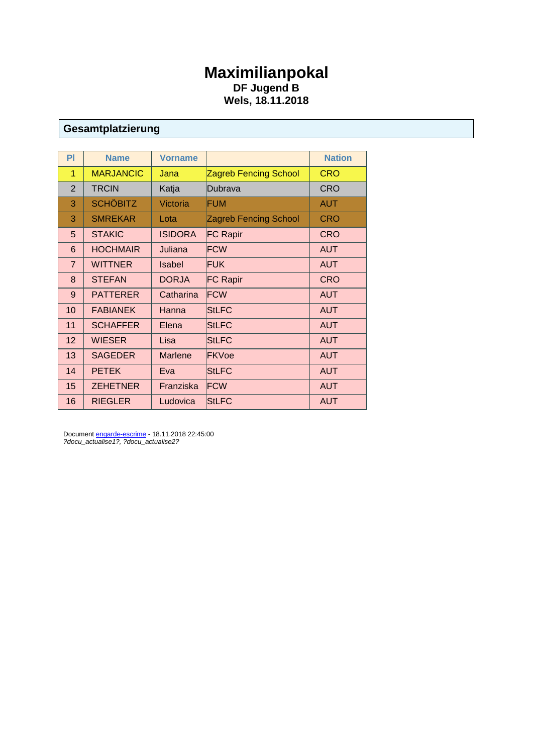## **Maximilianpokal DF Jugend B Wels, 18.11.2018**

# **Gesamtplatzierung**

| PI             | <b>Name</b>      | <b>Vorname</b> |                              | <b>Nation</b> |
|----------------|------------------|----------------|------------------------------|---------------|
| 1              | <b>MARJANCIC</b> | Jana           | <b>Zagreb Fencing School</b> | <b>CRO</b>    |
| $\overline{2}$ | <b>TRCIN</b>     | Katja          | Dubrava                      | <b>CRO</b>    |
| 3              | <b>SCHÖBITZ</b>  | Victoria       | FUM                          | <b>AUT</b>    |
| 3              | <b>SMREKAR</b>   | Lota           | <b>Zagreb Fencing School</b> | <b>CRO</b>    |
| 5              | <b>STAKIC</b>    | <b>ISIDORA</b> | <b>FC Rapir</b>              | <b>CRO</b>    |
| 6              | <b>HOCHMAIR</b>  | Juliana        | <b>FCW</b>                   | <b>AUT</b>    |
| $\overline{7}$ | <b>WITTNER</b>   | <b>Isabel</b>  | <b>FUK</b>                   | <b>AUT</b>    |
| 8              | <b>STEFAN</b>    | <b>DORJA</b>   | <b>FC Rapir</b>              | <b>CRO</b>    |
| 9              | <b>PATTERER</b>  | Catharina      | FCW                          | <b>AUT</b>    |
| 10             | <b>FABIANEK</b>  | Hanna          | <b>StLFC</b>                 | <b>AUT</b>    |
| 11             | <b>SCHAFFER</b>  | Elena          | <b>StLFC</b>                 | <b>AUT</b>    |
| 12             | <b>WIESER</b>    | Lisa           | <b>StLFC</b>                 | <b>AUT</b>    |
| 13             | <b>SAGEDER</b>   | Marlene        | FKVoe                        | <b>AUT</b>    |
| 14             | <b>PETEK</b>     | Eva            | <b>StLFC</b>                 | <b>AUT</b>    |
| 15             | <b>ZEHETNER</b>  | Franziska      | FCW                          | <b>AUT</b>    |
| 16             | <b>RIEGLER</b>   | Ludovica       | <b>StLFC</b>                 | <b>AUT</b>    |

Documen[t engarde-escrime](http://engarde-escrime.com/) - 18.11.2018 22:45:00 *?docu\_actualise1?, ?docu\_actualise2?*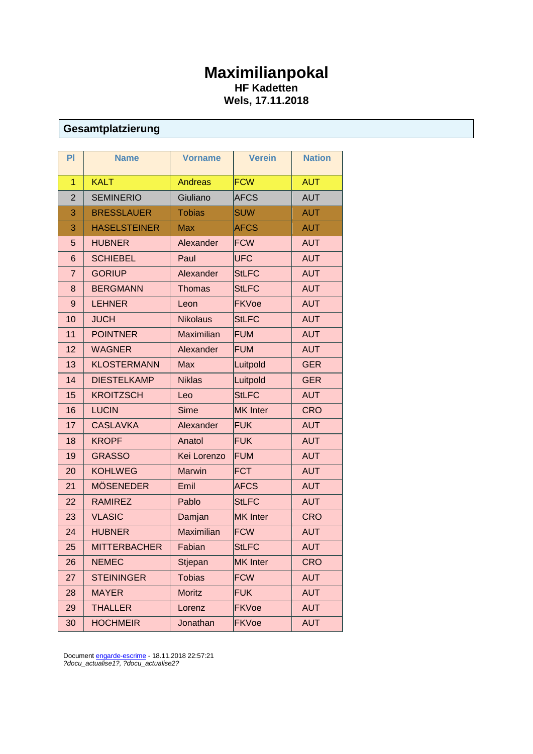# **Maximilianpokal HF Kadetten Wels, 17.11.2018**

# **Gesamtplatzierung**

| PI             | <b>Name</b>         | <b>Vorname</b>    | <b>Verein</b>   | <b>Nation</b> |
|----------------|---------------------|-------------------|-----------------|---------------|
| $\mathbf{1}$   | <b>KALT</b>         | <b>Andreas</b>    | <b>FCW</b>      | <b>AUT</b>    |
| $\overline{2}$ | <b>SEMINERIO</b>    | Giuliano          | <b>AFCS</b>     | <b>AUT</b>    |
| 3              | <b>BRESSLAUER</b>   | <b>Tobias</b>     | <b>SUW</b>      | <b>AUT</b>    |
| 3              | <b>HASELSTEINER</b> | <b>Max</b>        | <b>AFCS</b>     | <b>AUT</b>    |
| 5              | <b>HUBNER</b>       | Alexander         | <b>FCW</b>      | <b>AUT</b>    |
| 6              | <b>SCHIEBEL</b>     | Paul              | <b>UFC</b>      | <b>AUT</b>    |
| $\overline{7}$ | <b>GORIUP</b>       | Alexander         | <b>StLFC</b>    | <b>AUT</b>    |
| 8              | <b>BERGMANN</b>     | <b>Thomas</b>     | <b>StLFC</b>    | <b>AUT</b>    |
| 9              | <b>LEHNER</b>       | Leon              | <b>FKVoe</b>    | <b>AUT</b>    |
| 10             | <b>JUCH</b>         | <b>Nikolaus</b>   | <b>StLFC</b>    | <b>AUT</b>    |
| 11             | <b>POINTNER</b>     | <b>Maximilian</b> | <b>FUM</b>      | <b>AUT</b>    |
| 12             | <b>WAGNER</b>       | Alexander         | <b>FUM</b>      | <b>AUT</b>    |
| 13             | <b>KLOSTERMANN</b>  | <b>Max</b>        | Luitpold        | <b>GER</b>    |
| 14             | <b>DIESTELKAMP</b>  | <b>Niklas</b>     | Luitpold        | <b>GER</b>    |
| 15             | <b>KROITZSCH</b>    | Leo               | <b>StLFC</b>    | <b>AUT</b>    |
| 16             | <b>LUCIN</b>        | <b>Sime</b>       | <b>MK</b> Inter | <b>CRO</b>    |
| 17             | <b>CASLAVKA</b>     | Alexander         | <b>FUK</b>      | <b>AUT</b>    |
| 18             | <b>KROPF</b>        | Anatol            | <b>FUK</b>      | <b>AUT</b>    |
| 19             | <b>GRASSO</b>       | Kei Lorenzo       | <b>FUM</b>      | <b>AUT</b>    |
| 20             | <b>KOHLWEG</b>      | Marwin            | <b>FCT</b>      | <b>AUT</b>    |
| 21             | <b>MÖSENEDER</b>    | Emil              | <b>AFCS</b>     | <b>AUT</b>    |
| 22             | <b>RAMIREZ</b>      | Pablo             | <b>StLFC</b>    | <b>AUT</b>    |
| 23             | <b>VLASIC</b>       | Damjan            | <b>MK</b> Inter | <b>CRO</b>    |
| 24             | <b>HUBNER</b>       | <b>Maximilian</b> | <b>FCW</b>      | <b>AUT</b>    |
| 25             | <b>MITTERBACHER</b> | Fabian            | <b>StLFC</b>    | <b>AUT</b>    |
| 26             | <b>NEMEC</b>        | Stjepan           | <b>MK</b> Inter | <b>CRO</b>    |
| 27             | <b>STEININGER</b>   | <b>Tobias</b>     | <b>FCW</b>      | <b>AUT</b>    |
| 28             | <b>MAYER</b>        | <b>Moritz</b>     | <b>FUK</b>      | <b>AUT</b>    |
| 29             | <b>THALLER</b>      | Lorenz            | <b>FKVoe</b>    | <b>AUT</b>    |
| 30             | <b>HOCHMEIR</b>     | Jonathan          | <b>FKVoe</b>    | <b>AUT</b>    |

Documen[t engarde-escrime](http://engarde-escrime.com/) - 18.11.2018 22:57:21 *?docu\_actualise1?, ?docu\_actualise2?*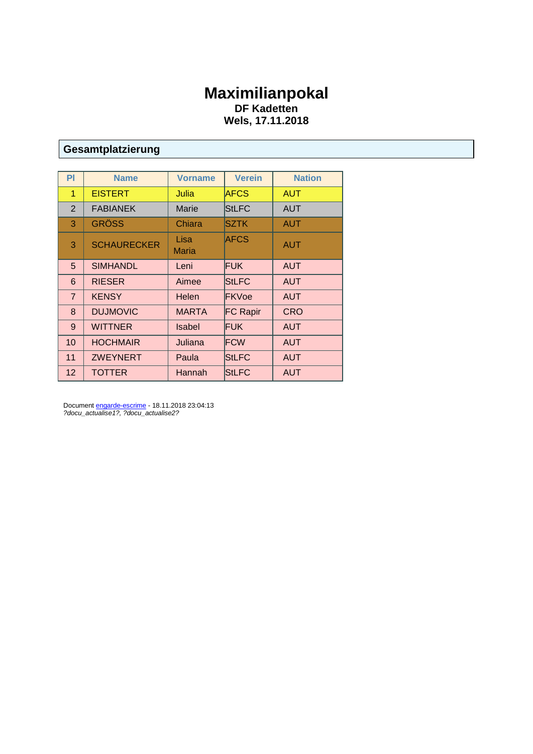## **Maximilianpokal DF Kadetten Wels, 17.11.2018**

# **Gesamtplatzierung**

| PI              | <b>Name</b>        | <b>Vorname</b> | <b>Verein</b>   | <b>Nation</b> |
|-----------------|--------------------|----------------|-----------------|---------------|
| 1               | <b>EISTERT</b>     | Julia          | <b>AFCS</b>     | <b>AUT</b>    |
| 2               | <b>FABIANEK</b>    | Marie          | <b>StLFC</b>    | <b>AUT</b>    |
| 3               | <b>GRÖSS</b>       | Chiara         | SZTK            | <b>AUT</b>    |
| 3               | <b>SCHAURECKER</b> | Lisa<br>Maria  | AFCS            | <b>AUT</b>    |
| 5               | <b>SIMHANDL</b>    | Leni           | <b>FUK</b>      | <b>AUT</b>    |
| 6               | <b>RIESER</b>      | Aimee          | <b>StLFC</b>    | <b>AUT</b>    |
| $\overline{7}$  | <b>KENSY</b>       | Helen          | <b>FKVoe</b>    | <b>AUT</b>    |
| 8               | <b>DUJMOVIC</b>    | <b>MARTA</b>   | <b>FC Rapir</b> | <b>CRO</b>    |
| 9               | <b>WITTNER</b>     | Isabel         | <b>FUK</b>      | <b>AUT</b>    |
| 10              | <b>HOCHMAIR</b>    | Juliana        | <b>FCW</b>      | <b>AUT</b>    |
| 11              | <b>ZWEYNERT</b>    | Paula          | <b>StLFC</b>    | <b>AUT</b>    |
| 12 <sup>2</sup> | <b>TOTTER</b>      | Hannah         | <b>StLFC</b>    | <b>AUT</b>    |

Document **engarde-escrime** - 18.11.2018 23:04:13 *?docu\_actualise1?, ?docu\_actualise2?*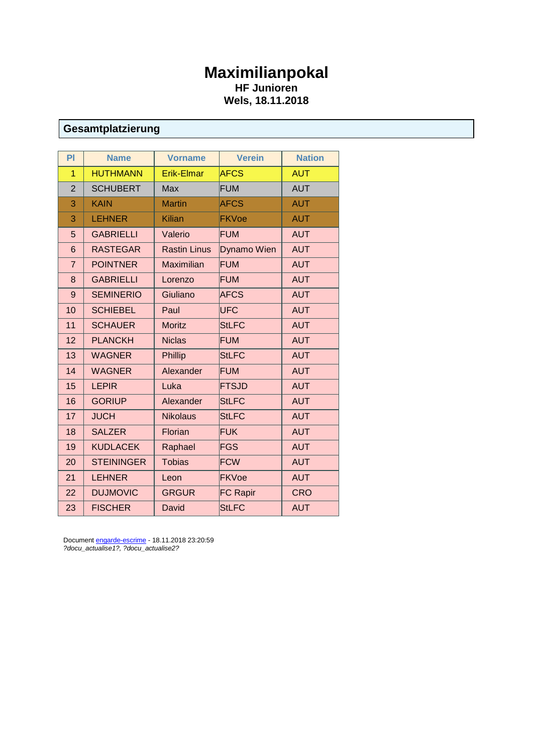# **Maximilianpokal HF Junioren Wels, 18.11.2018**

# **Gesamtplatzierung**

| PI             | <b>Name</b>       | <b>Vorname</b>      | <b>Verein</b>   | <b>Nation</b> |
|----------------|-------------------|---------------------|-----------------|---------------|
| 1              | <b>HUTHMANN</b>   | <b>Erik-Elmar</b>   | <b>AFCS</b>     | <b>AUT</b>    |
| $\overline{2}$ | <b>SCHUBERT</b>   | <b>Max</b>          | <b>FUM</b>      | <b>AUT</b>    |
| 3              | <b>KAIN</b>       | <b>Martin</b>       | <b>AFCS</b>     | <b>AUT</b>    |
| 3              | <b>LEHNER</b>     | <b>Kilian</b>       | <b>FKVoe</b>    | <b>AUT</b>    |
| 5              | <b>GABRIELLI</b>  | Valerio             | <b>FUM</b>      | <b>AUT</b>    |
| 6              | <b>RASTEGAR</b>   | <b>Rastin Linus</b> | Dynamo Wien     | <b>AUT</b>    |
| $\overline{7}$ | <b>POINTNER</b>   | <b>Maximilian</b>   | <b>FUM</b>      | <b>AUT</b>    |
| 8              | <b>GABRIELLI</b>  | Lorenzo             | <b>FUM</b>      | <b>AUT</b>    |
| 9              | <b>SEMINERIO</b>  | Giuliano            | <b>AFCS</b>     | <b>AUT</b>    |
| 10             | <b>SCHIEBEL</b>   | Paul                | <b>UFC</b>      | <b>AUT</b>    |
| 11             | <b>SCHAUER</b>    | <b>Moritz</b>       | <b>StLFC</b>    | <b>AUT</b>    |
| 12             | <b>PLANCKH</b>    | <b>Niclas</b>       | <b>FUM</b>      | <b>AUT</b>    |
| 13             | <b>WAGNER</b>     | Phillip             | <b>StLFC</b>    | <b>AUT</b>    |
| 14             | <b>WAGNER</b>     | Alexander           | <b>FUM</b>      | <b>AUT</b>    |
| 15             | <b>LEPIR</b>      | Luka                | <b>FTSJD</b>    | <b>AUT</b>    |
| 16             | <b>GORIUP</b>     | Alexander           | <b>StLFC</b>    | <b>AUT</b>    |
| 17             | <b>JUCH</b>       | <b>Nikolaus</b>     | <b>StLFC</b>    | <b>AUT</b>    |
| 18             | <b>SALZER</b>     | Florian             | <b>FUK</b>      | <b>AUT</b>    |
| 19             | <b>KUDLACEK</b>   | Raphael             | <b>FGS</b>      | <b>AUT</b>    |
| 20             | <b>STEININGER</b> | <b>Tobias</b>       | <b>FCW</b>      | <b>AUT</b>    |
| 21             | <b>LEHNER</b>     | Leon                | <b>FKVoe</b>    | <b>AUT</b>    |
| 22             | <b>DUJMOVIC</b>   | <b>GRGUR</b>        | <b>FC Rapir</b> | <b>CRO</b>    |
| 23             | <b>FISCHER</b>    | David               | <b>StLFC</b>    | <b>AUT</b>    |

Documen[t engarde-escrime](http://engarde-escrime.com/) - 18.11.2018 23:20:59 *?docu\_actualise1?, ?docu\_actualise2?*